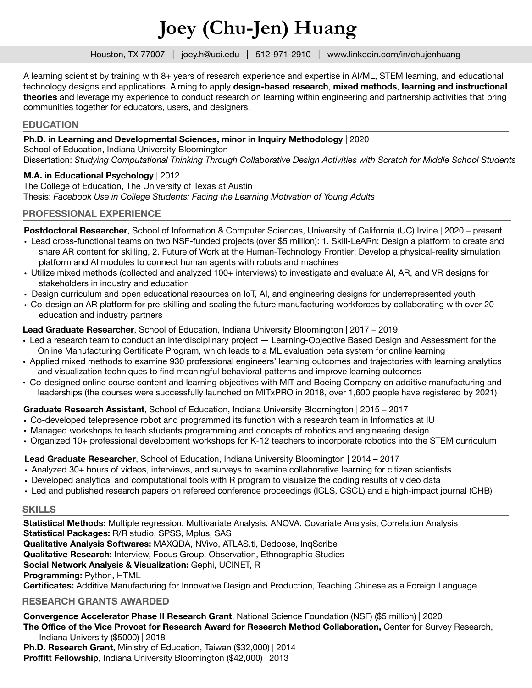# **Joey (Chu-Jen) Huang**

Houston, TX 77007 | joey.h@uci.edu | 512-971-2910 | www.linkedin.com/in/chujenhuang

A learning scientist by training with 8+ years of research experience and expertise in AI/ML, STEM learning, and educational technology designs and applications. Aiming to apply **design-based research**, **mixed methods**, **learning and instructional theories** and leverage my experience to conduct research on learning within engineering and partnership activities that bring communities together for educators, users, and designers.

#### **EDUCATION**

#### **Ph.D. in Learning and Developmental Sciences, minor in Inquiry Methodology** | 2020

School of Education, Indiana University Bloomington Dissertation: *Studying Computational Thinking Through Collaborative Design Activities with Scratch for Middle School Students* 

## **M.A. in Educational Psychology** | 2012

The College of Education, The University of Texas at Austin Thesis: *Facebook Use in College Students: Facing the Learning Motivation of Young Adults*

## **PROFESSIONAL EXPERIENCE**

**Postdoctoral Researcher**, School of Information & Computer Sciences, University of California (UC) Irvine | 2020 – present

- Lead cross-functional teams on two NSF-funded projects (over \$5 million): 1. Skill-LeARn: Design a platform to create and share AR content for skilling, 2. Future of Work at the Human-Technology Frontier: Develop a physical-reality simulation platform and AI modules to connect human agents with robots and machines
- Utilize mixed methods (collected and analyzed 100+ interviews) to investigate and evaluate AI, AR, and VR designs for stakeholders in industry and education
- Design curriculum and open educational resources on IoT, AI, and engineering designs for underrepresented youth
- Co-design an AR platform for pre-skilling and scaling the future manufacturing workforces by collaborating with over 20 education and industry partners

**Lead Graduate Researcher**, School of Education, Indiana University Bloomington | 2017 – 2019

- Led a research team to conduct an interdisciplinary project Learning-Objective Based Design and Assessment for the Online Manufacturing Certificate Program, which leads to a ML evaluation beta system for online learning
- Applied mixed methods to examine 930 professional engineers' learning outcomes and trajectories with learning analytics and visualization techniques to find meaningful behavioral patterns and improve learning outcomes
- Co-designed online course content and learning objectives with MIT and Boeing Company on additive manufacturing and leaderships (the courses were successfully launched on MITxPRO in 2018, over 1,600 people have registered by 2021)

## **Graduate Research Assistant**, School of Education, Indiana University Bloomington | 2015 – 2017

- Co-developed telepresence robot and programmed its function with a research team in Informatics at IU
- Managed workshops to teach students programming and concepts of robotics and engineering design
- Organized 10+ professional development workshops for K-12 teachers to incorporate robotics into the STEM curriculum

## **Lead Graduate Researcher**, School of Education, Indiana University Bloomington | 2014 – 2017

- Analyzed 30+ hours of videos, interviews, and surveys to examine collaborative learning for citizen scientists
- Developed analytical and computational tools with R program to visualize the coding results of video data
- Led and published research papers on refereed conference proceedings (ICLS, CSCL) and a high-impact journal (CHB)

## **SKILLS**

**Statistical Methods:** Multiple regression, Multivariate Analysis, ANOVA, Covariate Analysis, Correlation Analysis **Statistical Packages:** R/R studio, SPSS, Mplus, SAS

**Qualitative Analysis Softwares:** MAXQDA, NVivo, ATLAS.ti, Dedoose, InqScribe

**Qualitative Research:** Interview, Focus Group, Observation, Ethnographic Studies

**Social Network Analysis & Visualization:** Gephi, UCINET, R

**Programming:** Python, HTML

**Certificates:** Additive Manufacturing for Innovative Design and Production, Teaching Chinese as a Foreign Language

## **RESEARCH GRANTS AWARDED**

**Convergence Accelerator Phase II Research Grant**, National Science Foundation (NSF) (\$5 million) | 2020 **The Office of the Vice Provost for Research Award for Research Method Collaboration,** Center for Survey Research, Indiana University (\$5000) | 2018

**Ph.D. Research Grant**, Ministry of Education, Taiwan (\$32,000) | 2014 **Proffitt Fellowship**, Indiana University Bloomington (\$42,000) | 2013